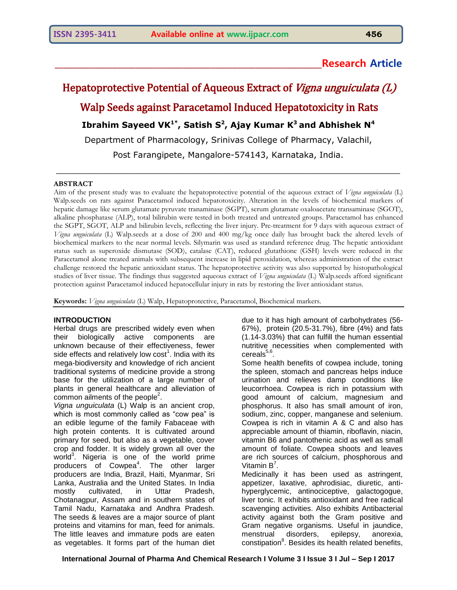# **\_\_\_\_\_\_\_\_\_\_\_\_\_\_\_\_\_\_\_\_\_\_\_\_\_\_\_\_\_\_\_\_\_\_\_\_\_\_\_\_\_\_\_\_\_\_\_\_\_\_\_\_\_\_\_\_\_\_\_\_Research Article**

# Hepatoprotective Potential of Aqueous Extract of Vigna unguiculata (L) Walp Seeds against Paracetamol Induced Hepatotoxicity in Rats **Ibrahim Sayeed VK 1\*, Satish S<sup>2</sup> , Ajay Kumar K <sup>3</sup>and Abhishek N<sup>4</sup>** Department of Pharmacology, Srinivas College of Pharmacy, Valachil, Post Farangipete, Mangalore-574143, Karnataka, India.

\_\_\_\_\_\_\_\_\_\_\_\_\_\_\_\_\_\_\_\_\_\_\_\_\_\_\_\_\_\_\_\_\_\_\_\_\_\_\_\_\_\_\_\_\_\_\_\_\_\_\_\_\_\_\_\_\_\_\_\_\_\_\_\_\_\_

#### **ABSTRACT**

Aim of the present study was to evaluate the hepatoprotective potential of the aqueous extract of *Vigna unguiculata* (L) Walp.seeds on rats against Paracetamol induced hepatotoxicity. Alteration in the levels of biochemical markers of hepatic damage like serum glutamate pyruvate tranaminase (SGPT), serum glutamate oxaloacetate transaminase (SGOT), alkaline phosphatase (ALP), total bilirubin were tested in both treated and untreated groups. Paracetamol has enhanced the SGPT, SGOT, ALP and bilirubin levels, reflecting the liver injury. Pre-treatment for 9 days with aqueous extract of *Vigna unguiculata* (L) Walp.seeds at a dose of 200 and 400 mg/kg once daily has brought back the altered levels of biochemical markers to the near normal levels. Silymarin was used as standard reference drug. The hepatic antioxidant status such as superoxide dismutase (SOD), catalase (CAT), reduced glutathione (GSH) levels were reduced in the Paracetamol alone treated animals with subsequent increase in lipid peroxidation, whereas administration of the extract challenge restored the hepatic antioxidant status. The hepatoprotective activity was also supported by histopathological studies of liver tissue. The findings thus suggested aqueous extract of *Vigna unguiculata* (L) Walp.seeds afford significant protection against Paracetamol induced hepatocellular injury in rats by restoring the liver antioxidant status.

**Keywords:** *Vigna unguiculata* (L) Walp, Hepatoprotective, Paracetamol, Biochemical markers.

# **INTRODUCTION**

Herbal drugs are prescribed widely even when their biologically active components are unknown because of their effectiveness, fewer side effects and relatively low  $\text{cost}^1$ . India with its mega-biodiversity and knowledge of rich ancient traditional systems of medicine provide a strong base for the utilization of a large number of plants in general healthcare and alleviation of common ailments of the people $2$ .

*Vigna unguiculata* (L) Walp is an ancient crop, which is most commonly called as "cow pea" is an edible legume of the family Fabaceae with high protein contents. It is cultivated around primary for seed, but also as a vegetable, cover crop and fodder. It is widely grown all over the world $3$ . Nigeria is one of the world prime producers of Cowpea<sup>4</sup>. The other larger producers are India, Brazil, Haiti, Myanmar, Sri Lanka, Australia and the United States. In India mostly cultivated, in Uttar Pradesh, Chotanagpur, Assam and in southern states of Tamil Nadu, Karnataka and Andhra Pradesh. The seeds & leaves are a major source of plant proteins and vitamins for man, feed for animals. The little leaves and immature pods are eaten as vegetables. It forms part of the human diet

due to it has high amount of carbohydrates (56- 67%), protein (20.5-31.7%), fibre (4%) and fats (1.14-3.03%) that can fulfill the human essential nutritive necessities when complemented with cereals $^{5,6}$ .

Some health benefits of cowpea include, toning the spleen, stomach and pancreas helps induce urination and relieves damp conditions like leucorrhoea. Cowpea is rich in potassium with good amount of calcium, magnesium and phosphorus. It also has small amount of iron, sodium, zinc, copper, manganese and selenium. Cowpea is rich in vitamin A & C and also has appreciable amount of thiamin, riboflavin, niacin, vitamin B6 and pantothenic acid as well as small amount of foliate. Cowpea shoots and leaves are rich sources of calcium, phosphorous and Vitamin  $B^7$ .

Medicinally it has been used as astringent, appetizer, laxative, aphrodisiac, diuretic, antihyperglycemic, antinociceptive, galactogogue, liver tonic. It exhibits antioxidant and free radical scavenging activities. Also exhibits Antibacterial activity against both the Gram positive and Gram negative organisms. Useful in jaundice, menstrual disorders, epilepsy, anorexia, constipation<sup>8</sup>. Besides its health related benefits,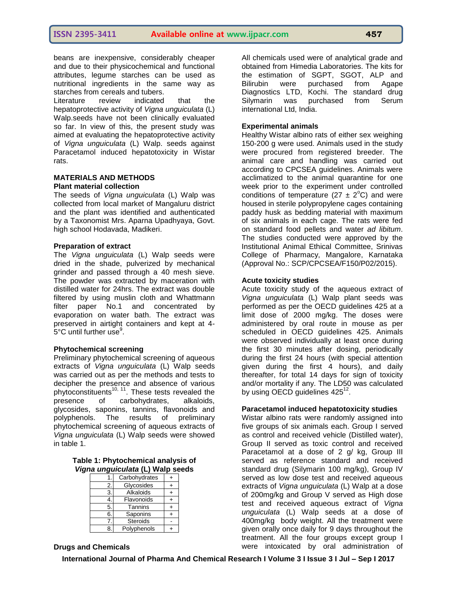beans are inexpensive, considerably cheaper and due to their physicochemical and functional attributes, legume starches can be used as nutritional ingredients in the same way as starches from cereals and tubers.

Literature review indicated that the hepatoprotective activity of *Vigna unguiculata* (L) Walp.seeds have not been clinically evaluated so far. In view of this, the present study was aimed at evaluating the hepatoprotective activity of *Vigna unguiculata* (L) Walp. seeds against Paracetamol induced hepatotoxicity in Wistar rats.

# **MATERIALS AND METHODS Plant material collection**

The seeds of *Vigna unguiculata* (L) Walp was collected from local market of Mangaluru district and the plant was identified and authenticated by a Taxonomist Mrs. Aparna Upadhyaya, Govt. high school Hodavada, Madikeri.

# **Preparation of extract**

The *Vigna unguiculata* (L) Walp seeds were dried in the shade, pulverized by mechanical grinder and passed through a 40 mesh sieve. The powder was extracted by maceration with distilled water for 24hrs. The extract was double filtered by using muslin cloth and Whattmann filter paper No.1 and concentrated by evaporation on water bath. The extract was preserved in airtight containers and kept at 4-  $5^{\circ}$ C until further use $^{\circ}$ .

# **Phytochemical screening**

Preliminary phytochemical screening of aqueous extracts of *Vigna unguiculata* (L) Walp seeds was carried out as per the methods and tests to decipher the presence and absence of various phytoconstituents<sup>10, 11</sup>. These tests revealed the presence of carbohydrates, alkaloids, glycosides, saponins, tannins, flavonoids and polyphenols. The results of preliminary phytochemical screening of aqueous extracts of *Vigna unguiculata* (L) Walp seeds were showed in table 1.

| Table 1: Phytochemical analysis of |  |
|------------------------------------|--|
| Vigna unguiculata (L) Walp seeds   |  |

|    | Carbohydrates   |  |
|----|-----------------|--|
| 2. | Glycosides      |  |
| 3. | Alkaloids       |  |
|    | Flavonoids      |  |
| 5. | Tannins         |  |
| 6. | Saponins        |  |
|    | <b>Steroids</b> |  |
| 8  | Polyphenols     |  |

All chemicals used were of analytical grade and obtained from Himedia Laboratories. The kits for the estimation of SGPT, SGOT, ALP and Bilirubin were purchased from Agape Diagnostics LTD, Kochi. The standard drug Silymarin was purchased from Serum international Ltd, India.

### **Experimental animals**

Healthy Wistar albino rats of either sex weighing 150-200 g were used. Animals used in the study were procured from registered breeder. The animal care and handling was carried out according to CPCSEA guidelines. Animals were acclimatized to the animal quarantine for one week prior to the experiment under controlled conditions of temperature (27  $\pm$  2<sup>o</sup>C) and were housed in sterile polypropylene cages containing paddy husk as bedding material with maximum of six animals in each cage. The rats were fed on standard food pellets and water *ad libitum*. The studies conducted were approved by the Institutional Animal Ethical Committee, Srinivas College of Pharmacy, Mangalore, Karnataka (Approval No.: SCP/CPCSEA/F150/P02/2015).

#### **Acute toxicity studies**

Acute toxicity study of the aqueous extract of *Vigna unguiculata* (L) Walp plant seeds was performed as per the OECD guidelines 425 at a limit dose of 2000 mg/kg. The doses were administered by oral route in mouse as per scheduled in OECD guidelines 425. Animals were observed individually at least once during the first 30 minutes after dosing, periodically during the first 24 hours (with special attention given during the first 4 hours), and daily thereafter, for total 14 days for sign of toxicity and/or mortality if any. The LD50 was calculated by using OECD guidelines  $425^{12}$ .

#### **Paracetamol induced hepatotoxicity studies**

Wistar albino rats were randomly assigned into five groups of six animals each. Group I served as control and received vehicle (Distilled water), Group II served as toxic control and received Paracetamol at a dose of 2 g/ kg, Group III served as reference standard and received standard drug (Silymarin 100 mg/kg), Group IV served as low dose test and received aqueous extracts of *Vigna unguiculata* (L) Walp at a dose of 200mg/kg and Group V served as High dose test and received aqueous extract of *Vigna unguiculata* (L) Walp seeds at a dose of 400mg/kg body weight. All the treatment were given orally once daily for 9 days throughout the treatment. All the four groups except group I were intoxicated by oral administration of

**Drugs and Chemicals**

**International Journal of Pharma And Chemical Research I Volume 3 I Issue 3 I Jul – Sep I 2017**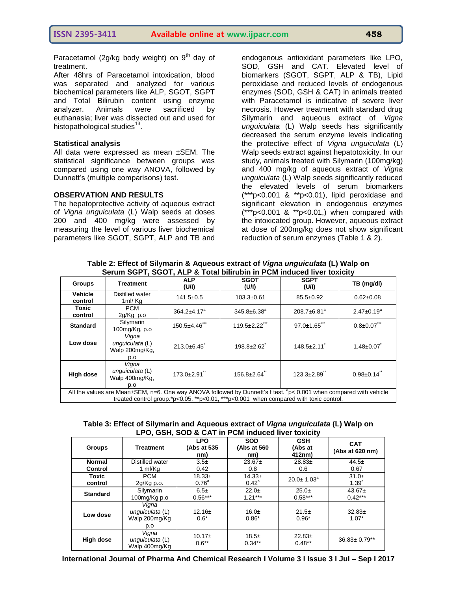Paracetamol (2g/kg body weight) on  $9<sup>th</sup>$  day of treatment.

After 48hrs of Paracetamol intoxication, blood was separated and analyzed for various biochemical parameters like ALP, SGOT, SGPT and Total Bilirubin content using enzyme analyzer. Animals were sacrificed by euthanasia; liver was dissected out and used for histopathological studies $^{13}$ .

#### **Statistical analysis**

All data were expressed as mean ±SEM. The statistical significance between groups was compared using one way ANOVA, followed by Dunnett's (multiple comparisons) test.

#### **OBSERVATION AND RESULTS**

The hepatoprotective activity of aqueous extract of *Vigna unguiculata* (L) Walp seeds at doses 200 and 400 mg/kg were assessed by measuring the level of various liver biochemical parameters like SGOT, SGPT, ALP and TB and

endogenous antioxidant parameters like LPO, SOD, GSH and CAT. Elevated level of biomarkers (SGOT, SGPT, ALP & TB), Lipid peroxidase and reduced levels of endogenous enzymes (SOD, GSH & CAT) in animals treated with Paracetamol is indicative of severe liver necrosis. However treatment with standard drug Silymarin and aqueous extract of *Vigna unguiculata* (L) Walp seeds has significantly decreased the serum enzyme levels indicating the protective effect of *Vigna unguiculata* (L) Walp seeds extract against hepatotoxicity. In our study, animals treated with Silymarin (100mg/kg) and 400 mg/kg of aqueous extract of *Vigna unguiculata* (L) Walp seeds significantly reduced the elevated levels of serum biomarkers (\*\*\*p<0.001 & \*\*p<0.01), lipid peroxidase and significant elevation in endogenous enzymes (\*\*\*p<0.001 & \*\*p<0.01,) when compared with the intoxicated group. However, aqueous extract at dose of 200mg/kg does not show significant reduction of serum enzymes (Table 1 & 2).

| <u>Jerum JOFT, JOUT, ALF &amp; TUM DIMUDIN IN FUM INQUEDITIVE TUXICITY</u>                                                                                                                                                |                                                   |                      |                      |                               |                    |
|---------------------------------------------------------------------------------------------------------------------------------------------------------------------------------------------------------------------------|---------------------------------------------------|----------------------|----------------------|-------------------------------|--------------------|
| <b>Groups</b>                                                                                                                                                                                                             | <b>Treatment</b>                                  | <b>ALP</b><br>(U/I)  | <b>SGOT</b><br>(U/I) | <b>SGPT</b><br>(U/I)          | TB (mg/dl)         |
| <b>Vehicle</b><br>control                                                                                                                                                                                                 | Distilled water<br>1ml/Kg                         | $141.5 \pm 0.5$      | $103.3 \pm 0.61$     | $85.5 \pm 0.92$               | $0.62 \pm 0.08$    |
| Toxic<br>control                                                                                                                                                                                                          | <b>PCM</b><br>2g/Kg p.o                           | $364.2 \pm 4.17^a$   | $345.8 \pm 6.38^a$   | $208.7 \pm 6.81$ <sup>a</sup> | $2.47 \pm 0.19^a$  |
| <b>Standard</b>                                                                                                                                                                                                           | Silymarin<br>100mg/Kg, p.o                        | $150.5 \pm 4.46$ *** | 119.5±2.22"          | $97.0 \pm 1.65$               | $0.8 \pm 0.07$ *** |
| Low dose                                                                                                                                                                                                                  | Vigna<br>unguiculata (L)<br>Walp 200mg/Kg,<br>p.o | $213.0+6.45$         | $198.8 \pm 2.62$     | $148.5 \pm 2.11$              | $1.48 \pm 0.07$    |
| High dose                                                                                                                                                                                                                 | Vigna<br>unguiculata (L)<br>Walp 400mg/Kg,<br>p.o | 173.0±2.91"          | $156.8 \pm 2.64$ "   | $123.3 \pm 2.89$              | $0.98 \pm 0.14$ ** |
| All the values are Mean $\pm$ SEM, n=6. One way ANOVA followed by Dunnett's t test. ${}^{3}$ p< 0.001 when compared with vehicle<br>treated control group.*p<0.05, **p<0.01, ***p<0.001 when compared with toxic control. |                                                   |                      |                      |                               |                    |

**Table 2: Effect of Silymarin & Aqueous extract of** *Vigna unguiculata* **(L) Walp on Serum SGPT, SGOT, ALP & Total bilirubin in PCM induced liver toxicity**

**Table 3: Effect of Silymarin and Aqueous extract of** *Vigna unguiculata* **(L) Walp on LPO, GSH, SOD & CAT in PCM induced liver toxicity**

| <b>Groups</b>                   | <b>Treatment</b>                                 | <b>LPO</b><br>(Abs at 535<br>nm) | <b>SOD</b><br>(Abs at 560<br>nm) | <b>GSH</b><br>(Abs at<br>412nm) | <b>CAT</b><br>(Abs at 620 nm) |
|---------------------------------|--------------------------------------------------|----------------------------------|----------------------------------|---------------------------------|-------------------------------|
| <b>Normal</b><br><b>Control</b> | Distilled water<br>1 ml/Kg                       | $3.5\pm$<br>0.42                 | $23.67+$<br>0.8                  | $28.83+$<br>0.6                 | $44.5+$<br>0.67               |
| Toxic<br>control                | <b>PCM</b><br>$2q/Kq$ p.o.                       | $18.33+$<br>0.76 <sup>a</sup>    | $14.33+$<br>$0.42^{\circ}$       | $20.0 \pm 1.03^{\circ}$         | $31.0+$<br>$1.39^{a}$         |
| <b>Standard</b>                 | Silymarin<br>100mg/Kg p.o                        | $6.5\pm$<br>$0.56***$            | $22.0+$<br>$1.21***$             | $25.0+$<br>$0.58***$            | $43.67+$<br>$0.42***$         |
| Low dose                        | Vigna<br>unguiculata (L)<br>Walp 200mg/Kg<br>p.o | $12.16 \pm$<br>$0.6*$            | $16.0\pm$<br>$0.86*$             | $21.5+$<br>$0.96*$              | $32.83+$<br>$1.07*$           |
| High dose                       | Vigna<br>unguiculata (L)<br>Walp 400mg/Kg        | $10.17 \pm$<br>$0.6***$          | $18.5\pm$<br>$0.34**$            | $22.83+$<br>$0.48**$            | $36.83 \pm 0.79**$            |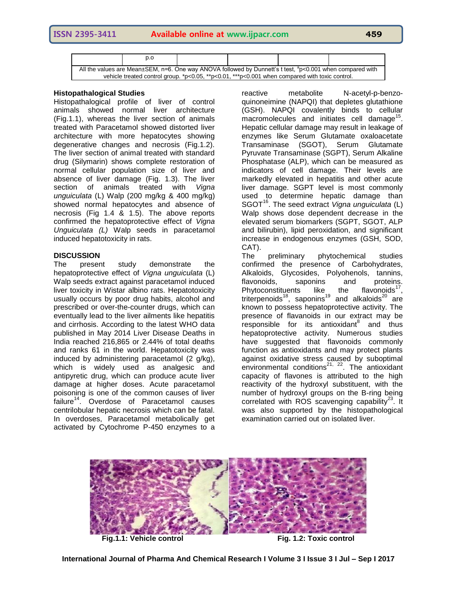|                                                                                                                                                                                                                   | p.o |  |  |  |  |
|-------------------------------------------------------------------------------------------------------------------------------------------------------------------------------------------------------------------|-----|--|--|--|--|
| All the values are Mean±SEM, n=6. One way ANOVA followed by Dunnett's t test, "p<0.001 when compared with<br>vehicle treated control group. $*p<0.05$ . $*p<0.01$ . $**p<0.001$ when compared with toxic control. |     |  |  |  |  |

# **Histopathalogical Studies**

Histopathalogical profile of liver of control animals showed normal liver architecture (Fig.1.1), whereas the liver section of animals treated with Paracetamol showed distorted liver architecture with more hepatocytes showing degenerative changes and necrosis (Fig.1.2). The liver section of animal treated with standard drug (Silymarin) shows complete restoration of normal cellular population size of liver and absence of liver damage (Fig. 1.3). The liver section of animals treated with *Vigna unguiculata* (L) Walp (200 mg/kg & 400 mg/kg) showed normal hepatocytes and absence of necrosis (Fig 1.4 & 1.5). The above reports confirmed the hepatoprotective effect of *Vigna Unguiculata (L)* Walp seeds in paracetamol induced hepatotoxicity in rats.

# **DISCUSSION**

The present study demonstrate the hepatoprotective effect of *Vigna unguiculata* (L) Walp seeds extract against paracetamol induced liver toxicity in Wistar albino rats. Hepatotoxicity usually occurs by poor drug habits, alcohol and prescribed or over-the-counter drugs, which can eventually lead to the liver ailments like hepatitis and cirrhosis. According to the latest WHO data published in May 2014 Liver Disease Deaths in India reached 216,865 or 2.44% of total deaths and ranks 61 in the world. Hepatotoxicity was induced by administering paracetamol (2 g/kg), which is widely used as analgesic and antipyretic drug, which can produce acute liver damage at higher doses. Acute paracetamol poisoning is one of the common causes of liver failure<sup>14</sup>. Overdose of Paracetamol causes centrilobular hepatic necrosis which can be fatal. In overdoses, Paracetamol metabolically get activated by Cytochrome P-450 enzymes to a

reactive metabolite N-acetyl-p-benzoquinoneimine (NAPQI) that depletes glutathione (GSH). NAPQI covalently binds to cellular  $m$ acromolecules and initiates cell damage<sup>15</sup>. Hepatic cellular damage may result in leakage of enzymes like Serum Glutamate oxaloacetate Transaminase (SGOT), Serum Glutamate Pyruvate Transaminase (SGPT), Serum Alkaline Phosphatase (ALP), which can be measured as indicators of cell damage. Their levels are markedly elevated in hepatitis and other acute liver damage. SGPT level is most commonly used to determine hepatic damage than SGOT<sup>16</sup>. The seed extract *Vigna unguiculata* (L) Walp shows dose dependent decrease in the elevated serum biomarkers (SGPT, SGOT, ALP and bilirubin), lipid peroxidation, and significant increase in endogenous enzymes (GSH, SOD, CAT).

The preliminary phytochemical studies confirmed the presence of Carbohydrates, Alkaloids, Glycosides, Polyohenols, tannins, flavonoids, saponins and proteins. Phytoconstituents like the flavonoids $17$ , triterpenoids<sup>18</sup>, saponins<sup>19</sup> and alkaloids<sup>20</sup> are known to possess hepatoprotective activity. The presence of flavanoids in our extract may be esponsible for its antioxidant<sup>8</sup> and thus hepatoprotective activity. Numerous studies have suggested that flavonoids commonly function as antioxidants and may protect plants against oxidative stress caused by suboptimal environmental conditions<sup>21, 22</sup>. The antioxidant capacity of flavones is attributed to the high reactivity of the hydroxyl substituent, with the number of hydroxyl groups on the B-ring being correlated with ROS scavenging capability<sup>23</sup>. It was also supported by the histopathological examination carried out on isolated liver.

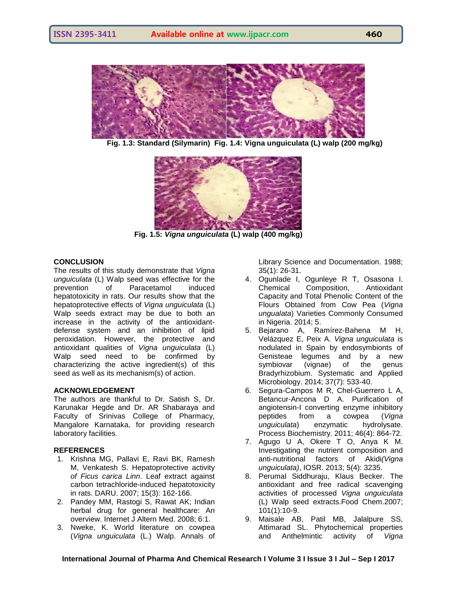

 **Fig. 1.3: Standard (Silymarin) Fig. 1.4: Vigna unguiculata (L) walp (200 mg/kg)**



**Fig. 1.5:** *Vigna unguiculata* **(L) walp (400 mg/kg)**

# **CONCLUSION**

The results of this study demonstrate that *Vigna unguiculata* (L) Walp seed was effective for the prevention of Paracetamol induced hepatotoxicity in rats. Our results show that the hepatoprotective effects of *Vigna unguiculata* (L) Walp seeds extract may be due to both an increase in the activity of the antioxidantdefense system and an inhibition of lipid peroxidation. However, the protective and antioxidant qualities of *Vigna unguiculata* (L) Walp seed need to be confirmed by characterizing the active ingredient(s) of this seed as well as its mechanism(s) of action.

# **ACKNOWLEDGEMENT**

The authors are thankful to Dr. Satish S, Dr. Karunakar Hegde and Dr. AR Shabaraya and Faculty of Srinivas College of Pharmacy, Mangalore Karnataka, for providing research laboratory facilities.

#### **REFERENCES**

- 1. Krishna MG, Pallavi E, Ravi BK, Ramesh M, Venkatesh S. Hepatoprotective activity *of Ficus carica Linn*. Leaf extract against carbon tetrachloride-induced hepatotoxicity in rats. DARU. 2007; 15(3): 162-166.
- 2. Pandey MM, Rastogi S, Rawat AK; Indian herbal drug for general healthcare: An overview. Internet J Altern Med. 2008; 6:1.
- 3. Nweke, K. World literature on cowpea (*Vigna unguiculata* (L.) Walp. Annals of

Library Science and Documentation. 1988; 35(1): 26-31.

- 4. Ogunlade I, Ogunleye R T, Osasona I. Chemical Composition, Antioxidant Capacity and Total Phenolic Content of the Flours Obtained from Cow Pea (*Vigna ungualata*) Varieties Commonly Consumed in Nigeria. 2014; 5.
- 5. Bejarano A, Ramírez-Bahena M H, Velázquez E, Peix A. *Vigna unguiculata* is nodulated in Spain by endosymbionts of Genisteae legumes and by a new symbiovar (vignae) of the genus Bradyrhizobium. Systematic and Applied Microbiology. 2014; 37(7): 533-40.
- 6. Segura-Campos M R, Chel-Guerrero L A, Betancur-Ancona D A. Purification of angiotensin-I converting enzyme inhibitory peptides from a cowpea (*Vigna unguiculata*) enzymatic hydrolysate. Process Biochemistry. 2011; 46(4): 864-72.
- 7. Agugo U A, Okere T O, Anya K M. Investigating the nutrient composition and anti-nutritional factors of Akidi*(Vigna unguiculata)*, IOSR. 2013; 5(4): 3235.
- 8. Perumal Siddhuraju, Klaus Becker. The antioxidant and free radical scavenging activities of processed *Vigna unguiculata*  (L) Walp seed extracts.Food Chem.2007; 101(1):10-9.
- 9. Maisale AB, Patil MB, Jalalpure SS, Attimarad SL. Phytochemical properties and Anthelmintic activity of *Vigna*